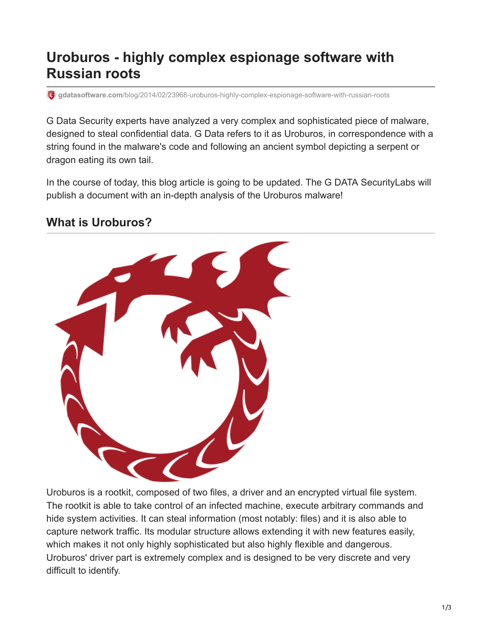# **Uroburos - highly complex espionage software with Russian roots**

**gdatasoftware.com**[/blog/2014/02/23968-uroburos-highly-complex-espionage-software-with-russian-roots](https://www.gdatasoftware.com/blog/2014/02/23968-uroburos-highly-complex-espionage-software-with-russian-roots)

G Data Security experts have analyzed a very complex and sophisticated piece of malware, designed to steal confidential data. G Data refers to it as Uroburos, in correspondence with a string found in the malware's code and following an ancient symbol depicting a serpent or dragon eating its own tail.

In the course of today, this blog article is going to be updated. The G DATA SecurityLabs will publish a document with an in-depth analysis of the Uroburos malware!

#### **What is Uroburos?**



Uroburos is a rootkit, composed of two files, a driver and an encrypted virtual file system. The rootkit is able to take control of an infected machine, execute arbitrary commands and hide system activities. It can steal information (most notably: files) and it is also able to capture network traffic. Its modular structure allows extending it with new features easily, which makes it not only highly sophisticated but also highly flexible and dangerous. Uroburos' driver part is extremely complex and is designed to be very discrete and very difficult to identify.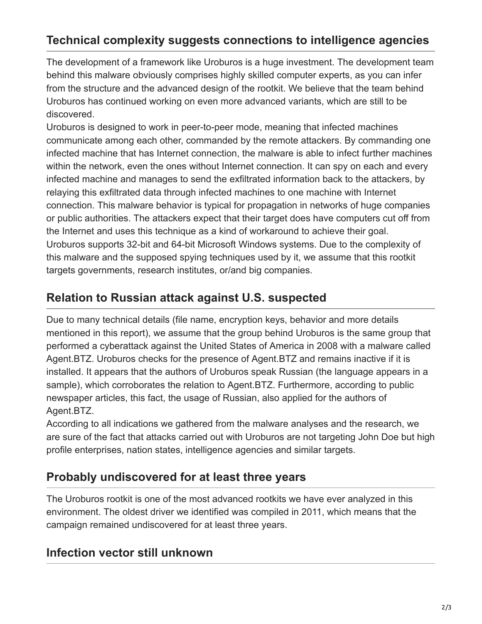# **Technical complexity suggests connections to intelligence agencies**

The development of a framework like Uroburos is a huge investment. The development team behind this malware obviously comprises highly skilled computer experts, as you can infer from the structure and the advanced design of the rootkit. We believe that the team behind Uroburos has continued working on even more advanced variants, which are still to be discovered.

Uroburos is designed to work in peer-to-peer mode, meaning that infected machines communicate among each other, commanded by the remote attackers. By commanding one infected machine that has Internet connection, the malware is able to infect further machines within the network, even the ones without Internet connection. It can spy on each and every infected machine and manages to send the exfiltrated information back to the attackers, by relaying this exfiltrated data through infected machines to one machine with Internet connection. This malware behavior is typical for propagation in networks of huge companies or public authorities. The attackers expect that their target does have computers cut off from the Internet and uses this technique as a kind of workaround to achieve their goal. Uroburos supports 32-bit and 64-bit Microsoft Windows systems. Due to the complexity of this malware and the supposed spying techniques used by it, we assume that this rootkit targets governments, research institutes, or/and big companies.

## **Relation to Russian attack against U.S. suspected**

Due to many technical details (file name, encryption keys, behavior and more details mentioned in this report), we assume that the group behind Uroburos is the same group that performed a cyberattack against the United States of America in 2008 with a malware called Agent.BTZ. Uroburos checks for the presence of Agent.BTZ and remains inactive if it is installed. It appears that the authors of Uroburos speak Russian (the language appears in a sample), which corroborates the relation to Agent.BTZ. Furthermore, according to public newspaper articles, this fact, the usage of Russian, also applied for the authors of Agent.BTZ.

According to all indications we gathered from the malware analyses and the research, we are sure of the fact that attacks carried out with Uroburos are not targeting John Doe but high profile enterprises, nation states, intelligence agencies and similar targets.

## **Probably undiscovered for at least three years**

The Uroburos rootkit is one of the most advanced rootkits we have ever analyzed in this environment. The oldest driver we identified was compiled in 2011, which means that the campaign remained undiscovered for at least three years.

### **Infection vector still unknown**